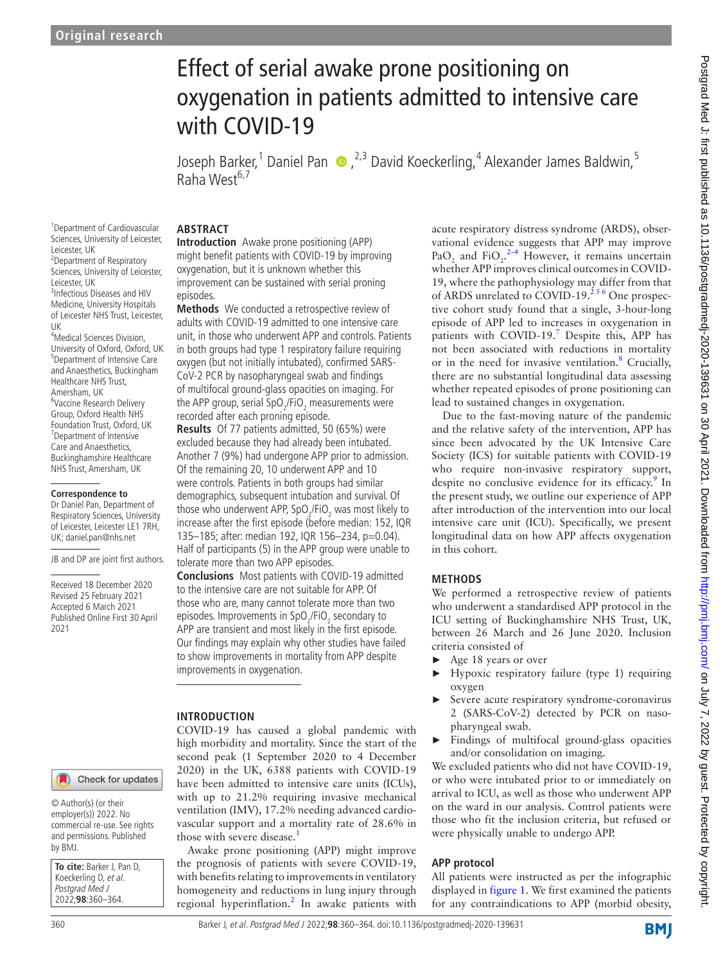1 Department of Cardiovascular Sciences, University of Leicester,

2 Department of Respiratory Sciences, University of Leicester,

3 Infectious Diseases and HIV Medicine, University Hospitals of Leicester NHS Trust, Leicester,

4 Medical Sciences Division, University of Oxford, Oxford, UK 5 Department of Intensive Care and Anaesthetics, Buckingham Healthcare NHS Trust, Amersham, UK

6 Vaccine Research Delivery Group, Oxford Health NHS Foundation Trust, Oxford, UK 7 Department of Intensive Care and Anaesthetics, Buckinghamshire Healthcare NHS Trust, Amersham, UK

**Correspondence to** Dr Daniel Pan, Department of Respiratory Sciences, University of Leicester, Leicester LE1 7RH, UK; daniel.pan@nhs.net

JB and DP are joint first authors.

Received 18 December 2020 Revised 25 February 2021 Accepted 6 March 2021 Published Online First 30 April

2021

Leicester, UK

Leicester, UK

UK

# Effect of serial awake prone positioning on oxygenation in patients admitted to intensive care with COVID-19

JosephBarker,<sup>1</sup> Daniel Pan  $\bigcirc$ , <sup>2,3</sup> David Koeckerling, <sup>4</sup> Alexander James Baldwin, <sup>5</sup> Raha West<sup>6,7</sup>

#### **ABSTRACT**

**Introduction** Awake prone positioning (APP) might benefit patients with COVID-19 by improving oxygenation, but it is unknown whether this improvement can be sustained with serial proning episodes.

**Methods** We conducted a retrospective review of adults with COVID-19 admitted to one intensive care unit, in those who underwent APP and controls. Patients in both groups had type 1 respiratory failure requiring oxygen (but not initially intubated), confirmed SARS-CoV-2 PCR by nasopharyngeal swab and findings of multifocal ground-glass opacities on imaging. For the APP group, serial SpO<sub>2</sub>/FiO<sub>2</sub> measurements were recorded after each proning episode.

**Results** Of 77 patients admitted, 50 (65%) were excluded because they had already been intubated. Another 7 (9%) had undergone APP prior to admission. Of the remaining 20, 10 underwent APP and 10 were controls. Patients in both groups had similar demographics, subsequent intubation and survival. Of those who underwent APP, SpO<sub>2</sub>/FiO<sub>2</sub> was most likely to increase after the first episode (before median: 152, IQR 135–185; after: median 192, IQR 156–234, p=0.04). Half of participants (5) in the APP group were unable to tolerate more than two APP episodes.

**Conclusions** Most patients with COVID-19 admitted to the intensive care are not suitable for APP. Of those who are, many cannot tolerate more than two episodes. Improvements in SpO<sub>2</sub>/FiO<sub>2</sub> secondary to APP are transient and most likely in the first episode. Our findings may explain why other studies have failed to show improvements in mortality from APP despite improvements in oxygenation.

#### **INTRODUCTION**

COVID-19 has caused a global pandemic with high morbidity and mortality. Since the start of the second peak (1 September 2020 to 4 December 2020) in the UK, 6388 patients with COVID-19 have been admitted to intensive care units (ICUs), with up to 21.2% requiring invasive mechanical ventilation (IMV), 17.2% needing advanced cardiovascular support and a mortality rate of 28.6% in those with severe disease.<sup>[1](#page-4-0)</sup>

Awake prone positioning (APP) might improve the prognosis of patients with severe COVID-19, with benefits relating to improvements in ventilatory homogeneity and reductions in lung injury through regional hyperinflation.<sup>[2](#page-4-1)</sup> In awake patients with acute respiratory distress syndrome (ARDS), observational evidence suggests that APP may improve PaO<sub>2</sub> and FiO<sub>2</sub>.<sup>2-4</sup> However, it remains uncertain whether APP improves clinical outcomes in COVID-19, where the pathophysiology may differ from that of ARDS unrelated to COVID-19.<sup>256</sup> One prospective cohort study found that a single, 3-hour-long episode of APP led to increases in oxygenation in patients with COVID-19.<sup>[7](#page-4-2)</sup> Despite this, APP has not been associated with reductions in mortality or in the need for invasive ventilation.<sup>[8](#page-4-3)</sup> Crucially, there are no substantial longitudinal data assessing whether repeated episodes of prone positioning can lead to sustained changes in oxygenation.

Due to the fast-moving nature of the pandemic and the relative safety of the intervention, APP has since been advocated by the UK Intensive Care Society (ICS) for suitable patients with COVID-19 who require non-invasive respiratory support, despite no conclusive evidence for its efficacy.<sup>[9](#page-4-4)</sup> In the present study, we outline our experience of APP after introduction of the intervention into our local intensive care unit (ICU). Specifically, we present longitudinal data on how APP affects oxygenation in this cohort.

## **METHODS**

We performed a retrospective review of patients who underwent a standardised APP protocol in the ICU setting of Buckinghamshire NHS Trust, UK, between 26 March and 26 June 2020. Inclusion criteria consisted of

- Age 18 years or over
- ► Hypoxic respiratory failure (type 1) requiring oxygen
- ► Severe acute respiratory syndrome-coronavirus 2 (SARS-CoV-2) detected by PCR on nasopharyngeal swab.
- Findings of multifocal ground-glass opacities and/or consolidation on imaging.

We excluded patients who did not have COVID-19, or who were intubated prior to or immediately on arrival to ICU, as well as those who underwent APP on the ward in our analysis. Control patients were those who fit the inclusion criteria, but refused or were physically unable to undergo APP.

## **APP protocol**

All patients were instructed as per the infographic displayed in [figure](#page-1-0) 1. We first examined the patients for any contraindications to APP (morbid obesity,

#### Check for updates

© Author(s) (or their employer(s)) 2022. No commercial re-use. See rights and permissions. Published by BMJ.

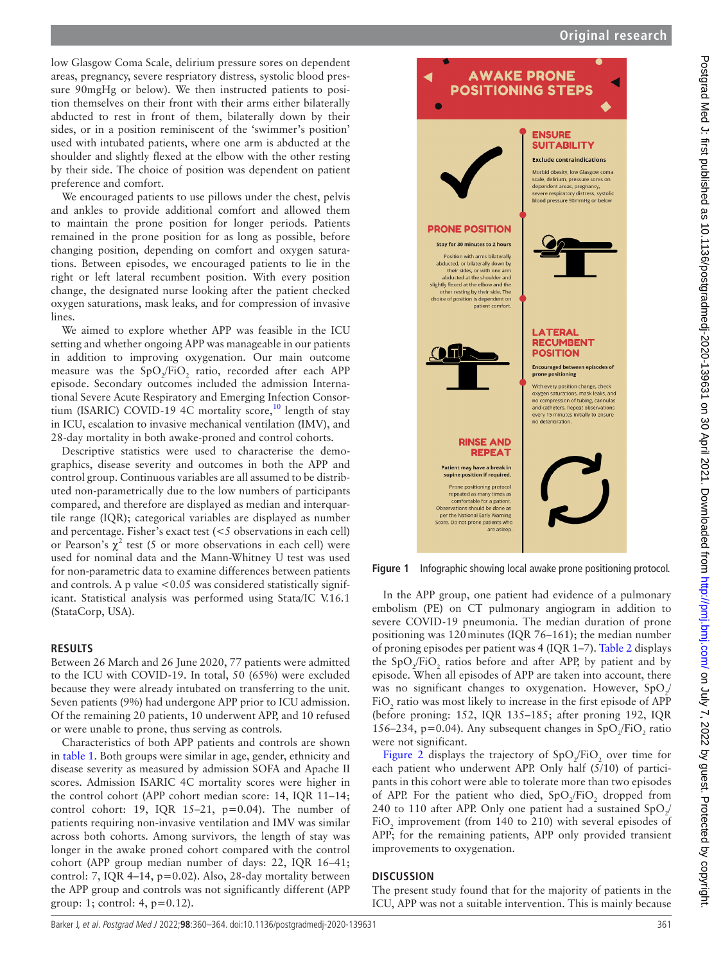low Glasgow Coma Scale, delirium pressure sores on dependent areas, pregnancy, severe respriatory distress, systolic blood pressure 90mgHg or below). We then instructed patients to position themselves on their front with their arms either bilaterally abducted to rest in front of them, bilaterally down by their sides, or in a position reminiscent of the 'swimmer's position' used with intubated patients, where one arm is abducted at the shoulder and slightly flexed at the elbow with the other resting by their side. The choice of position was dependent on patient preference and comfort.

We encouraged patients to use pillows under the chest, pelvis and ankles to provide additional comfort and allowed them to maintain the prone position for longer periods. Patients remained in the prone position for as long as possible, before changing position, depending on comfort and oxygen saturations. Between episodes, we encouraged patients to lie in the right or left lateral recumbent position. With every position change, the designated nurse looking after the patient checked oxygen saturations, mask leaks, and for compression of invasive lines.

We aimed to explore whether APP was feasible in the ICU setting and whether ongoing APP was manageable in our patients in addition to improving oxygenation. Our main outcome measure was the  $SpO_2/FiO_2$  ratio, recorded after each APP episode. Secondary outcomes included the admission International Severe Acute Respiratory and Emerging Infection Consor-tium (ISARIC) COVID-19 4C mortality score,<sup>[10](#page-4-5)</sup> length of stay in ICU, escalation to invasive mechanical ventilation (IMV), and 28-day mortality in both awake-proned and control cohorts.

Descriptive statistics were used to characterise the demographics, disease severity and outcomes in both the APP and control group. Continuous variables are all assumed to be distributed non-parametrically due to the low numbers of participants compared, and therefore are displayed as median and interquartile range (IQR); categorical variables are displayed as number and percentage. Fisher's exact test (<5 observations in each cell) or Pearson's  $\chi^2$  test (5 or more observations in each cell) were used for nominal data and the Mann-Whitney U test was used for non-parametric data to examine differences between patients and controls. A p value  $< 0.05$  was considered statistically significant. Statistical analysis was performed using Stata/IC V.16.1 (StataCorp, USA).

## **RESULTS**

Between 26 March and 26 June 2020, 77 patients were admitted to the ICU with COVID-19. In total, 50 (65%) were excluded because they were already intubated on transferring to the unit. Seven patients (9%) had undergone APP prior to ICU admission. Of the remaining 20 patients, 10 underwent APP, and 10 refused or were unable to prone, thus serving as controls.

Characteristics of both APP patients and controls are shown in [table](#page-2-0) 1. Both groups were similar in age, gender, ethnicity and disease severity as measured by admission SOFA and Apache II scores. Admission ISARIC 4C mortality scores were higher in the control cohort (APP cohort median score: 14, IQR 11–14; control cohort: 19, IQR 15-21,  $p=0.04$ ). The number of patients requiring non-invasive ventilation and IMV was similar across both cohorts. Among survivors, the length of stay was longer in the awake proned cohort compared with the control cohort (APP group median number of days: 22, IQR 16–41; control: 7, IQR 4–14, p*=*0.02). Also, 28-day mortality between the APP group and controls was not significantly different (APP group: 1; control: 4, p=0.12).



<span id="page-1-0"></span>**Figure 1** Infographic showing local awake prone positioning protocol.

In the APP group, one patient had evidence of a pulmonary embolism (PE) on CT pulmonary angiogram in addition to severe COVID-19 pneumonia. The median duration of prone positioning was 120minutes (IQR 76–161); the median number of proning episodes per patient was 4 (IQR 1–7). [Table](#page-2-1) 2 displays the  $SpO_2/FiO_2$  ratios before and after APP, by patient and by episode. When all episodes of APP are taken into account, there was no significant changes to oxygenation. However,  $\text{SpO}_2\text{/}$ FiO<sub>2</sub> ratio was most likely to increase in the first episode of APP (before proning: 152, IQR 135–185; after proning 192, IQR 156–234, p=0.04). Any subsequent changes in  $SpO_2/FiO_2$  ratio were not significant.

[Figure](#page-3-0) 2 displays the trajectory of  $SpO_2/FiO_2$  over time for each patient who underwent APP. Only half (5/10) of participants in this cohort were able to tolerate more than two episodes of APP. For the patient who died,  $SpO_2/FiO_2$  dropped from 240 to 110 after APP. Only one patient had a sustained  $\text{SpO}_{2/}$  $FiO<sub>2</sub>$  improvement (from 140 to 210) with several episodes of APP; for the remaining patients, APP only provided transient improvements to oxygenation.

## **DISCUSSION**

The present study found that for the majority of patients in the ICU, APP was not a suitable intervention. This is mainly because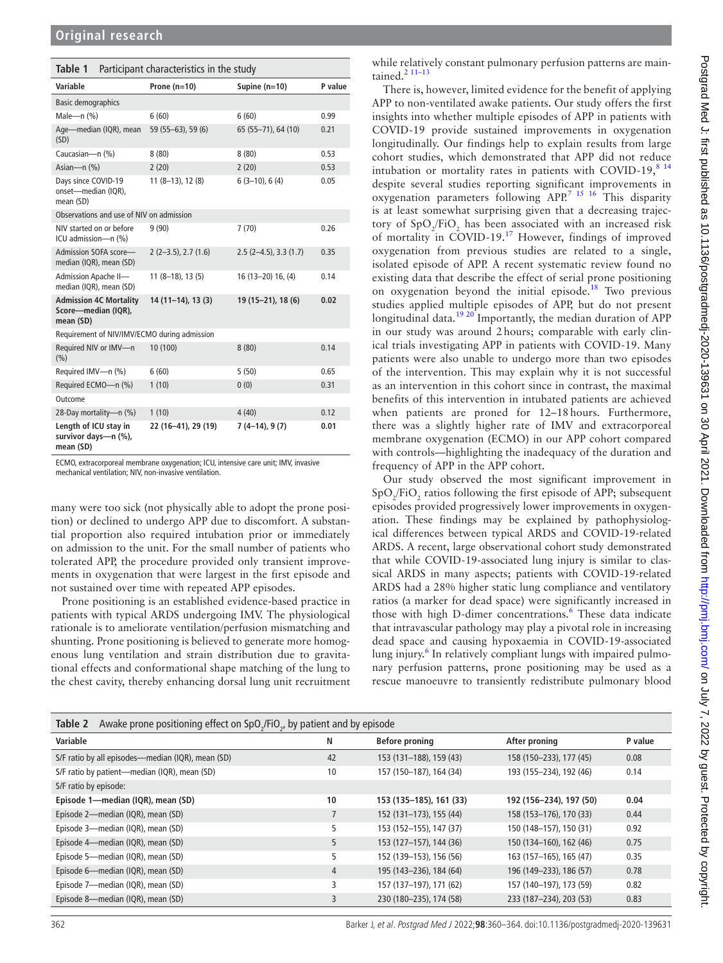<span id="page-2-0"></span>

| Table 1<br>Participant characteristics in the study               |                       |                        |         |  |  |  |  |
|-------------------------------------------------------------------|-----------------------|------------------------|---------|--|--|--|--|
| Variable                                                          | Prone $(n=10)$        | Supine $(n=10)$        | P value |  |  |  |  |
| <b>Basic demographics</b>                                         |                       |                        |         |  |  |  |  |
| Male- $n$ $(\%)$                                                  | 6(60)                 | 6(60)                  | 0.99    |  |  |  |  |
| Age-median (IQR), mean<br>(SD)                                    | 59 (55-63), 59 (6)    | 65 (55-71), 64 (10)    | 0.21    |  |  |  |  |
| Caucasian-n (%)                                                   | 8(80)                 | 8(80)                  | 0.53    |  |  |  |  |
| Asian-n (%)                                                       | 2(20)                 | 2(20)                  | 0.53    |  |  |  |  |
| Days since COVID-19<br>onset-median (IQR),<br>mean (SD)           | $11(8-13), 12(8)$     | $6(3-10), 6(4)$        | 0.05    |  |  |  |  |
| Observations and use of NIV on admission                          |                       |                        |         |  |  |  |  |
| NIV started on or before<br>ICU admission-n (%)                   | 9(90)                 | 7(70)                  | 0.26    |  |  |  |  |
| Admission SOFA score-<br>median (IQR), mean (SD)                  | $2(2-3.5), 2.7(1.6)$  | $2.5(2-4.5), 3.3(1.7)$ | 0.35    |  |  |  |  |
| Admission Apache II-<br>median (IQR), mean (SD)                   | $11(8-18)$ , 13 $(5)$ | 16 (13-20) 16, (4)     | 0.14    |  |  |  |  |
| <b>Admission 4C Mortality</b><br>Score-median (IQR),<br>mean (SD) | $14(11-14), 13(3)$    | 19 (15-21), 18 (6)     | 0.02    |  |  |  |  |
| Requirement of NIV/IMV/ECMO during admission                      |                       |                        |         |  |  |  |  |
| Required NIV or IMV-n<br>(%)                                      | 10 (100)              | 8(80)                  | 0.14    |  |  |  |  |
| Required IMV-n (%)                                                | 6(60)                 | 5(50)                  | 0.65    |  |  |  |  |
| Required ECMO-n (%)                                               | 1(10)                 | 0(0)                   | 0.31    |  |  |  |  |
| Outcome                                                           |                       |                        |         |  |  |  |  |
| 28-Day mortality-n (%)                                            | 1(10)                 | 4(40)                  | 0.12    |  |  |  |  |
| Length of ICU stay in<br>survivor days-n (%),<br>mean (SD)        | 22 (16-41), 29 (19)   | $7(4-14), 9(7)$        | 0.01    |  |  |  |  |

ECMO, extracorporeal membrane oxygenation; ICU, intensive care unit; IMV, invasive mechanical ventilation; NIV, non-invasive ventilation.

many were too sick (not physically able to adopt the prone position) or declined to undergo APP due to discomfort. A substantial proportion also required intubation prior or immediately on admission to the unit. For the small number of patients who tolerated APP, the procedure provided only transient improvements in oxygenation that were largest in the first episode and not sustained over time with repeated APP episodes.

Prone positioning is an established evidence-based practice in patients with typical ARDS undergoing IMV. The physiological rationale is to ameliorate ventilation/perfusion mismatching and shunting. Prone positioning is believed to generate more homogenous lung ventilation and strain distribution due to gravitational effects and conformational shape matching of the lung to the chest cavity, thereby enhancing dorsal lung unit recruitment

while relatively constant pulmonary perfusion patterns are maintained.<sup>2</sup> 11-13

There is, however, limited evidence for the benefit of applying APP to non-ventilated awake patients. Our study offers the first insights into whether multiple episodes of APP in patients with COVID-19 provide sustained improvements in oxygenation longitudinally. Our findings help to explain results from large cohort studies, which demonstrated that APP did not reduce intubation or mortality rates in patients with COVID-19, $8^{14}$ despite several studies reporting significant improvements in oxygenation parameters following APP.[7 15 16](#page-4-2) This disparity is at least somewhat surprising given that a decreasing trajectory of  $SpO_2/FiO_2$  has been associated with an increased risk of mortality in COVID-19.<sup>17</sup> However, findings of improved oxygenation from previous studies are related to a single, isolated episode of APP. A recent systematic review found no existing data that describe the effect of serial prone positioning on oxygenation beyond the initial episode.<sup>[18](#page-4-7)</sup> Two previous studies applied multiple episodes of APP, but do not present longitudinal data.<sup>19 20</sup> Importantly, the median duration of APP in our study was around 2hours; comparable with early clinical trials investigating APP in patients with COVID-19. Many patients were also unable to undergo more than two episodes of the intervention. This may explain why it is not successful as an intervention in this cohort since in contrast, the maximal benefits of this intervention in intubated patients are achieved when patients are proned for 12–18hours. Furthermore, there was a slightly higher rate of IMV and extracorporeal membrane oxygenation (ECMO) in our APP cohort compared with controls—highlighting the inadequacy of the duration and frequency of APP in the APP cohort.

Our study observed the most significant improvement in  $SpO_2/FiO_2$  ratios following the first episode of APP; subsequent episodes provided progressively lower improvements in oxygenation. These findings may be explained by pathophysiological differences between typical ARDS and COVID-19-related ARDS. A recent, large observational cohort study demonstrated that while COVID-19-associated lung injury is similar to classical ARDS in many aspects; patients with COVID-19-related ARDS had a 28% higher static lung compliance and ventilatory ratios (a marker for dead space) were significantly increased in those with high D-dimer concentrations.<sup>[6](#page-4-9)</sup> These data indicate that intravascular pathology may play a pivotal role in increasing dead space and causing hypoxaemia in COVID-19-associated lung injury.<sup>6</sup> In relatively compliant lungs with impaired pulmonary perfusion patterns, prone positioning may be used as a rescue manoeuvre to transiently redistribute pulmonary blood

<span id="page-2-1"></span>

| Table 2<br>Awake prone positioning effect on $SpO2/FiO2$ , by patient and by episode |                |                         |                         |         |  |  |
|--------------------------------------------------------------------------------------|----------------|-------------------------|-------------------------|---------|--|--|
| Variable                                                                             | N              | <b>Before proning</b>   | After proning           | P value |  |  |
| S/F ratio by all episodes-median (IQR), mean (SD)                                    | 42             | 153 (131-188), 159 (43) | 158 (150-233), 177 (45) | 0.08    |  |  |
| S/F ratio by patient-median (IQR), mean (SD)                                         | 10             | 157 (150-187), 164 (34) | 193 (155-234), 192 (46) | 0.14    |  |  |
| S/F ratio by episode:                                                                |                |                         |                         |         |  |  |
| Episode 1-median (IQR), mean (SD)                                                    | 10             | 153 (135-185), 161 (33) | 192 (156-234), 197 (50) | 0.04    |  |  |
| Episode 2-median (IQR), mean (SD)                                                    | $\overline{7}$ | 152 (131-173), 155 (44) | 158 (153-176), 170 (33) | 0.44    |  |  |
| Episode 3-median (IQR), mean (SD)                                                    | 5              | 153 (152-155), 147 (37) | 150 (148-157), 150 (31) | 0.92    |  |  |
| Episode 4-median (IQR), mean (SD)                                                    | 5              | 153 (127-157), 144 (36) | 150 (134-160), 162 (46) | 0.75    |  |  |
| Episode 5-median (IQR), mean (SD)                                                    | 5              | 152 (139-153), 156 (56) | 163 (157-165), 165 (47) | 0.35    |  |  |
| Episode 6-median (IQR), mean (SD)                                                    | $\overline{4}$ | 195 (143-236), 184 (64) | 196 (149-233), 186 (57) | 0.78    |  |  |
| Episode 7-median (IQR), mean (SD)                                                    | 3              | 157 (137-197), 171 (62) | 157 (140-197), 173 (59) | 0.82    |  |  |
| Episode 8-median (IQR), mean (SD)                                                    | 3              | 230 (180-235), 174 (58) | 233 (187-234), 203 (53) | 0.83    |  |  |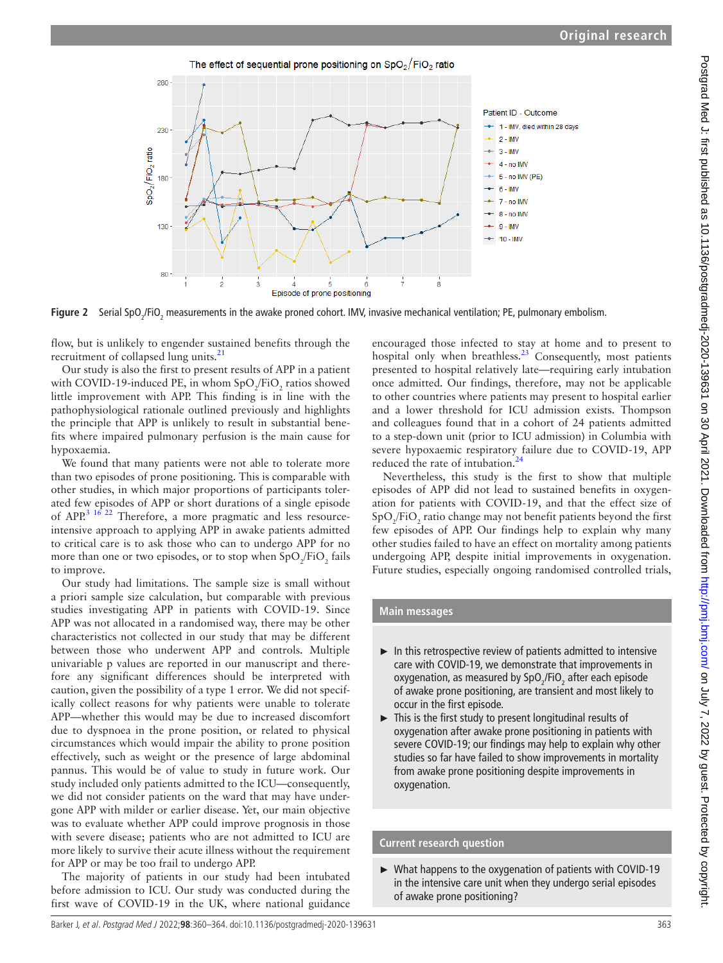The effect of sequential prone positioning on  $SpO<sub>2</sub>/FiO<sub>2</sub>$  ratio



**Figure 2** Serial SpO<sub>2</sub>/FiO<sub>2</sub> measurements in the awake proned cohort. IMV, invasive mechanical ventilation; PE, pulmonary embolism.

flow, but is unlikely to engender sustained benefits through the recruitment of collapsed lung units.<sup>[21](#page-4-10)</sup>

Our study is also the first to present results of APP in a patient with COVID-19-induced PE, in whom  $SpO_2/FiO_2$  ratios showed little improvement with APP. This finding is in line with the pathophysiological rationale outlined previously and highlights the principle that APP is unlikely to result in substantial benefits where impaired pulmonary perfusion is the main cause for hypoxaemia.

We found that many patients were not able to tolerate more than two episodes of prone positioning. This is comparable with other studies, in which major proportions of participants tolerated few episodes of APP or short durations of a single episode of APP.<sup>3 16 22</sup> Therefore, a more pragmatic and less resourceintensive approach to applying APP in awake patients admitted to critical care is to ask those who can to undergo APP for no more than one or two episodes, or to stop when  $\text{SpO}_2/\text{FiO}_2$  fails to improve.

Our study had limitations. The sample size is small without a priori sample size calculation, but comparable with previous studies investigating APP in patients with COVID-19. Since APP was not allocated in a randomised way, there may be other characteristics not collected in our study that may be different between those who underwent APP and controls. Multiple univariable p values are reported in our manuscript and therefore any significant differences should be interpreted with caution, given the possibility of a type 1 error. We did not specifically collect reasons for why patients were unable to tolerate APP—whether this would may be due to increased discomfort due to dyspnoea in the prone position, or related to physical circumstances which would impair the ability to prone position effectively, such as weight or the presence of large abdominal pannus. This would be of value to study in future work. Our study included only patients admitted to the ICU—consequently, we did not consider patients on the ward that may have undergone APP with milder or earlier disease. Yet, our main objective was to evaluate whether APP could improve prognosis in those with severe disease; patients who are not admitted to ICU are more likely to survive their acute illness without the requirement for APP or may be too frail to undergo APP.

The majority of patients in our study had been intubated before admission to ICU. Our study was conducted during the first wave of COVID-19 in the UK, where national guidance

<span id="page-3-0"></span>encouraged those infected to stay at home and to present to hospital only when breathless.<sup>[23](#page-4-12)</sup> Consequently, most patients presented to hospital relatively late—requiring early intubation once admitted. Our findings, therefore, may not be applicable to other countries where patients may present to hospital earlier and a lower threshold for ICU admission exists. Thompson and colleagues found that in a cohort of 24 patients admitted to a step-down unit (prior to ICU admission) in Columbia with severe hypoxaemic respiratory failure due to COVID-19, APP reduced the rate of intubation.<sup>[24](#page-4-13)</sup>

Nevertheless, this study is the first to show that multiple episodes of APP did not lead to sustained benefits in oxygenation for patients with COVID-19, and that the effect size of  $\mathrm{SpO}_2/\mathrm{FiO}_2$  ratio change may not benefit patients beyond the first few episodes of APP. Our findings help to explain why many other studies failed to have an effect on mortality among patients undergoing APP, despite initial improvements in oxygenation. Future studies, especially ongoing randomised controlled trials,

## **Main messages**

- $\blacktriangleright$  In this retrospective review of patients admitted to intensive care with COVID-19, we demonstrate that improvements in oxygenation, as measured by  $SpO_2$ /FiO<sub>2</sub> after each episode of awake prone positioning, are transient and most likely to occur in the first episode.
- ► This is the first study to present longitudinal results of oxygenation after awake prone positioning in patients with severe COVID-19; our findings may help to explain why other studies so far have failed to show improvements in mortality from awake prone positioning despite improvements in oxygenation.

#### **Current research question**

► What happens to the oxygenation of patients with COVID-19 in the intensive care unit when they undergo serial episodes of awake prone positioning?